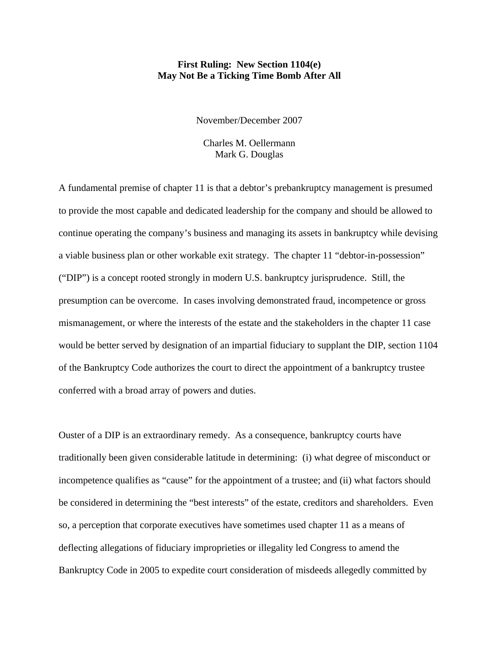# **First Ruling: New Section 1104(e) May Not Be a Ticking Time Bomb After All**

November/December 2007

Charles M. Oellermann Mark G. Douglas

A fundamental premise of chapter 11 is that a debtor's prebankruptcy management is presumed to provide the most capable and dedicated leadership for the company and should be allowed to continue operating the company's business and managing its assets in bankruptcy while devising a viable business plan or other workable exit strategy. The chapter 11 "debtor-in-possession" ("DIP") is a concept rooted strongly in modern U.S. bankruptcy jurisprudence. Still, the presumption can be overcome. In cases involving demonstrated fraud, incompetence or gross mismanagement, or where the interests of the estate and the stakeholders in the chapter 11 case would be better served by designation of an impartial fiduciary to supplant the DIP, section 1104 of the Bankruptcy Code authorizes the court to direct the appointment of a bankruptcy trustee conferred with a broad array of powers and duties.

Ouster of a DIP is an extraordinary remedy. As a consequence, bankruptcy courts have traditionally been given considerable latitude in determining: (i) what degree of misconduct or incompetence qualifies as "cause" for the appointment of a trustee; and (ii) what factors should be considered in determining the "best interests" of the estate, creditors and shareholders. Even so, a perception that corporate executives have sometimes used chapter 11 as a means of deflecting allegations of fiduciary improprieties or illegality led Congress to amend the Bankruptcy Code in 2005 to expedite court consideration of misdeeds allegedly committed by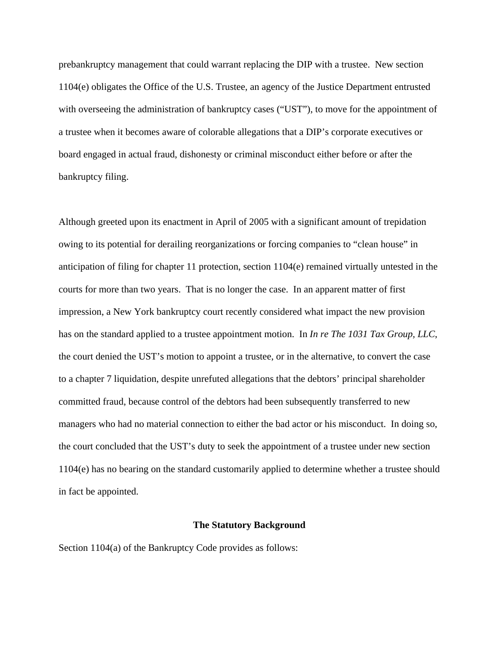prebankruptcy management that could warrant replacing the DIP with a trustee. New section 1104(e) obligates the Office of the U.S. Trustee, an agency of the Justice Department entrusted with overseeing the administration of bankruptcy cases ("UST"), to move for the appointment of a trustee when it becomes aware of colorable allegations that a DIP's corporate executives or board engaged in actual fraud, dishonesty or criminal misconduct either before or after the bankruptcy filing.

Although greeted upon its enactment in April of 2005 with a significant amount of trepidation owing to its potential for derailing reorganizations or forcing companies to "clean house" in anticipation of filing for chapter 11 protection, section 1104(e) remained virtually untested in the courts for more than two years. That is no longer the case. In an apparent matter of first impression, a New York bankruptcy court recently considered what impact the new provision has on the standard applied to a trustee appointment motion. In *In re The 1031 Tax Group, LLC*, the court denied the UST's motion to appoint a trustee, or in the alternative, to convert the case to a chapter 7 liquidation, despite unrefuted allegations that the debtors' principal shareholder committed fraud, because control of the debtors had been subsequently transferred to new managers who had no material connection to either the bad actor or his misconduct. In doing so, the court concluded that the UST's duty to seek the appointment of a trustee under new section 1104(e) has no bearing on the standard customarily applied to determine whether a trustee should in fact be appointed.

#### **The Statutory Background**

Section 1104(a) of the Bankruptcy Code provides as follows: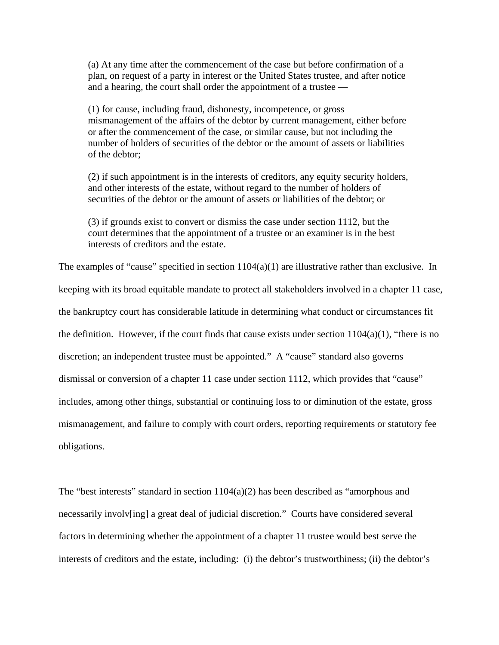(a) At any time after the commencement of the case but before confirmation of a plan, on request of a party in interest or the United States trustee, and after notice and a hearing, the court shall order the appointment of a trustee —

(1) for cause, including fraud, dishonesty, incompetence, or gross mismanagement of the affairs of the debtor by current management, either before or after the commencement of the case, or similar cause, but not including the number of holders of securities of the debtor or the amount of assets or liabilities of the debtor;

(2) if such appointment is in the interests of creditors, any equity security holders, and other interests of the estate, without regard to the number of holders of securities of the debtor or the amount of assets or liabilities of the debtor; or

(3) if grounds exist to convert or dismiss the case under section 1112, but the court determines that the appointment of a trustee or an examiner is in the best interests of creditors and the estate.

The examples of "cause" specified in section  $1104(a)(1)$  are illustrative rather than exclusive. In keeping with its broad equitable mandate to protect all stakeholders involved in a chapter 11 case, the bankruptcy court has considerable latitude in determining what conduct or circumstances fit the definition. However, if the court finds that cause exists under section  $1104(a)(1)$ , "there is no discretion; an independent trustee must be appointed." A "cause" standard also governs dismissal or conversion of a chapter 11 case under section 1112, which provides that "cause" includes, among other things, substantial or continuing loss to or diminution of the estate, gross mismanagement, and failure to comply with court orders, reporting requirements or statutory fee obligations.

The "best interests" standard in section  $1104(a)(2)$  has been described as "amorphous and necessarily involv[ing] a great deal of judicial discretion." Courts have considered several factors in determining whether the appointment of a chapter 11 trustee would best serve the interests of creditors and the estate, including: (i) the debtor's trustworthiness; (ii) the debtor's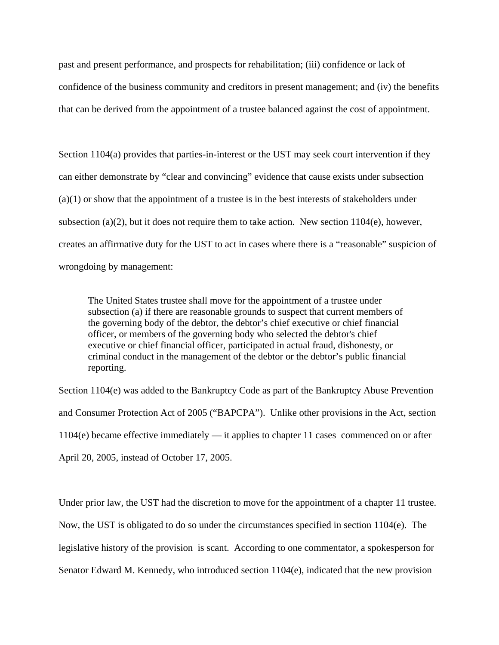past and present performance, and prospects for rehabilitation; (iii) confidence or lack of confidence of the business community and creditors in present management; and (iv) the benefits that can be derived from the appointment of a trustee balanced against the cost of appointment.

Section 1104(a) provides that parties-in-interest or the UST may seek court intervention if they can either demonstrate by "clear and convincing" evidence that cause exists under subsection  $(a)(1)$  or show that the appointment of a trustee is in the best interests of stakeholders under subsection (a)(2), but it does not require them to take action. New section  $1104(e)$ , however, creates an affirmative duty for the UST to act in cases where there is a "reasonable" suspicion of wrongdoing by management:

The United States trustee shall move for the appointment of a trustee under subsection (a) if there are reasonable grounds to suspect that current members of the governing body of the debtor, the debtor's chief executive or chief financial officer, or members of the governing body who selected the debtor's chief executive or chief financial officer, participated in actual fraud, dishonesty, or criminal conduct in the management of the debtor or the debtor's public financial reporting.

Section 1104(e) was added to the Bankruptcy Code as part of the Bankruptcy Abuse Prevention and Consumer Protection Act of 2005 ("BAPCPA"). Unlike other provisions in the Act, section 1104(e) became effective immediately — it applies to chapter 11 cases commenced on or after April 20, 2005, instead of October 17, 2005.

Under prior law, the UST had the discretion to move for the appointment of a chapter 11 trustee. Now, the UST is obligated to do so under the circumstances specified in section 1104(e). The legislative history of the provision is scant. According to one commentator, a spokesperson for Senator Edward M. Kennedy, who introduced section 1104(e), indicated that the new provision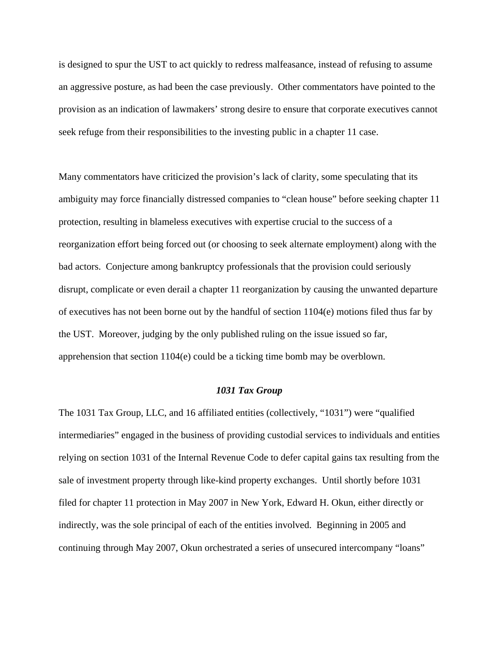is designed to spur the UST to act quickly to redress malfeasance, instead of refusing to assume an aggressive posture, as had been the case previously. Other commentators have pointed to the provision as an indication of lawmakers' strong desire to ensure that corporate executives cannot seek refuge from their responsibilities to the investing public in a chapter 11 case.

Many commentators have criticized the provision's lack of clarity, some speculating that its ambiguity may force financially distressed companies to "clean house" before seeking chapter 11 protection, resulting in blameless executives with expertise crucial to the success of a reorganization effort being forced out (or choosing to seek alternate employment) along with the bad actors. Conjecture among bankruptcy professionals that the provision could seriously disrupt, complicate or even derail a chapter 11 reorganization by causing the unwanted departure of executives has not been borne out by the handful of section 1104(e) motions filed thus far by the UST. Moreover, judging by the only published ruling on the issue issued so far, apprehension that section 1104(e) could be a ticking time bomb may be overblown.

### *1031 Tax Group*

The 1031 Tax Group, LLC, and 16 affiliated entities (collectively, "1031") were "qualified intermediaries" engaged in the business of providing custodial services to individuals and entities relying on section 1031 of the Internal Revenue Code to defer capital gains tax resulting from the sale of investment property through like-kind property exchanges. Until shortly before 1031 filed for chapter 11 protection in May 2007 in New York, Edward H. Okun, either directly or indirectly, was the sole principal of each of the entities involved. Beginning in 2005 and continuing through May 2007, Okun orchestrated a series of unsecured intercompany "loans"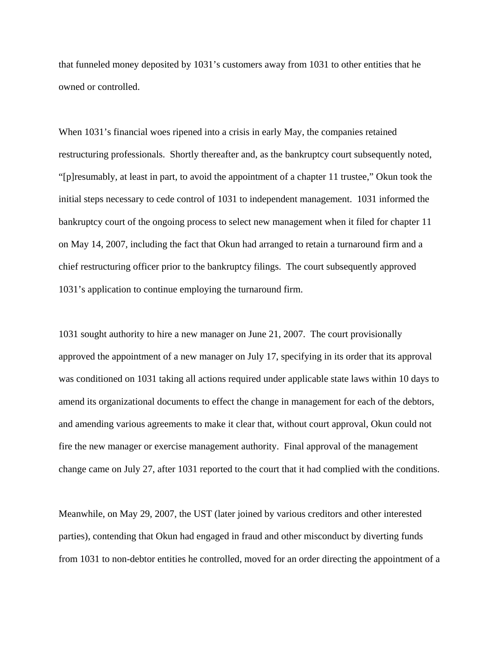that funneled money deposited by 1031's customers away from 1031 to other entities that he owned or controlled.

When 1031's financial woes ripened into a crisis in early May, the companies retained restructuring professionals. Shortly thereafter and, as the bankruptcy court subsequently noted, "[p]resumably, at least in part, to avoid the appointment of a chapter 11 trustee," Okun took the initial steps necessary to cede control of 1031 to independent management. 1031 informed the bankruptcy court of the ongoing process to select new management when it filed for chapter 11 on May 14, 2007, including the fact that Okun had arranged to retain a turnaround firm and a chief restructuring officer prior to the bankruptcy filings. The court subsequently approved 1031's application to continue employing the turnaround firm.

1031 sought authority to hire a new manager on June 21, 2007. The court provisionally approved the appointment of a new manager on July 17, specifying in its order that its approval was conditioned on 1031 taking all actions required under applicable state laws within 10 days to amend its organizational documents to effect the change in management for each of the debtors, and amending various agreements to make it clear that, without court approval, Okun could not fire the new manager or exercise management authority. Final approval of the management change came on July 27, after 1031 reported to the court that it had complied with the conditions.

Meanwhile, on May 29, 2007, the UST (later joined by various creditors and other interested parties), contending that Okun had engaged in fraud and other misconduct by diverting funds from 1031 to non-debtor entities he controlled, moved for an order directing the appointment of a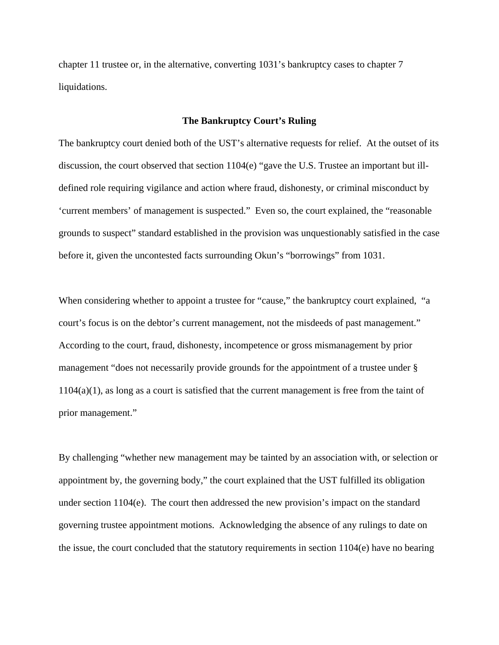chapter 11 trustee or, in the alternative, converting 1031's bankruptcy cases to chapter 7 liquidations.

## **The Bankruptcy Court's Ruling**

The bankruptcy court denied both of the UST's alternative requests for relief. At the outset of its discussion, the court observed that section 1104(e) "gave the U.S. Trustee an important but illdefined role requiring vigilance and action where fraud, dishonesty, or criminal misconduct by 'current members' of management is suspected." Even so, the court explained, the "reasonable grounds to suspect" standard established in the provision was unquestionably satisfied in the case before it, given the uncontested facts surrounding Okun's "borrowings" from 1031.

When considering whether to appoint a trustee for "cause," the bankruptcy court explained, "a court's focus is on the debtor's current management, not the misdeeds of past management." According to the court, fraud, dishonesty, incompetence or gross mismanagement by prior management "does not necessarily provide grounds for the appointment of a trustee under § 1104(a)(1), as long as a court is satisfied that the current management is free from the taint of prior management."

By challenging "whether new management may be tainted by an association with, or selection or appointment by, the governing body," the court explained that the UST fulfilled its obligation under section 1104(e). The court then addressed the new provision's impact on the standard governing trustee appointment motions. Acknowledging the absence of any rulings to date on the issue, the court concluded that the statutory requirements in section 1104(e) have no bearing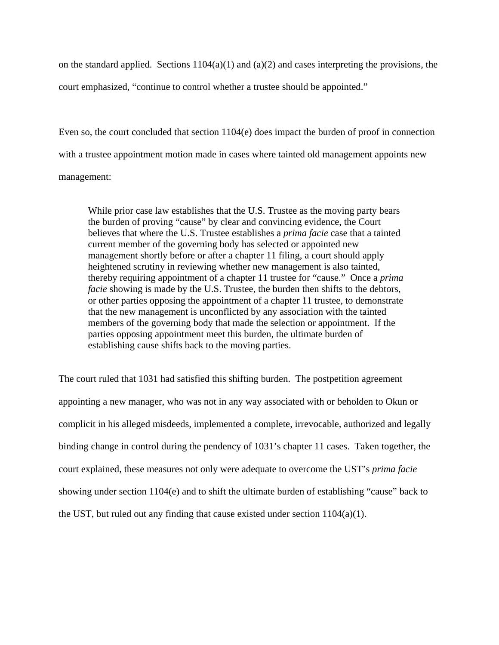on the standard applied. Sections  $1104(a)(1)$  and  $(a)(2)$  and cases interpreting the provisions, the court emphasized, "continue to control whether a trustee should be appointed."

Even so, the court concluded that section 1104(e) does impact the burden of proof in connection with a trustee appointment motion made in cases where tainted old management appoints new management:

While prior case law establishes that the U.S. Trustee as the moving party bears the burden of proving "cause" by clear and convincing evidence, the Court believes that where the U.S. Trustee establishes a *prima facie* case that a tainted current member of the governing body has selected or appointed new management shortly before or after a chapter 11 filing, a court should apply heightened scrutiny in reviewing whether new management is also tainted, thereby requiring appointment of a chapter 11 trustee for "cause." Once a *prima facie* showing is made by the U.S. Trustee, the burden then shifts to the debtors, or other parties opposing the appointment of a chapter 11 trustee, to demonstrate that the new management is unconflicted by any association with the tainted members of the governing body that made the selection or appointment. If the parties opposing appointment meet this burden, the ultimate burden of establishing cause shifts back to the moving parties.

The court ruled that 1031 had satisfied this shifting burden. The postpetition agreement appointing a new manager, who was not in any way associated with or beholden to Okun or complicit in his alleged misdeeds, implemented a complete, irrevocable, authorized and legally binding change in control during the pendency of 1031's chapter 11 cases. Taken together, the court explained, these measures not only were adequate to overcome the UST's *prima facie* showing under section 1104(e) and to shift the ultimate burden of establishing "cause" back to the UST, but ruled out any finding that cause existed under section  $1104(a)(1)$ .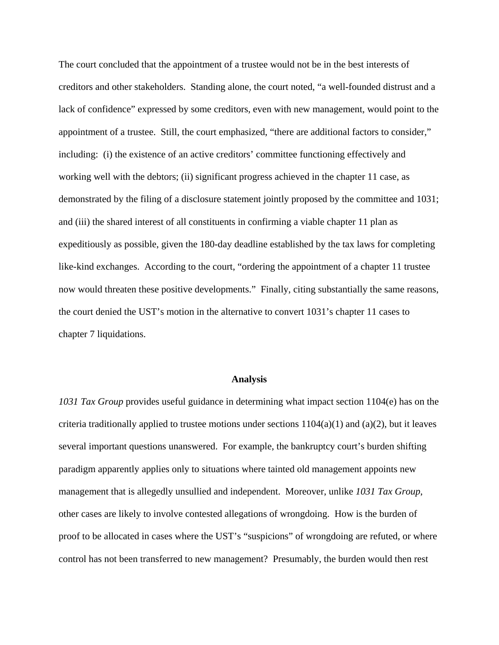The court concluded that the appointment of a trustee would not be in the best interests of creditors and other stakeholders. Standing alone, the court noted, "a well-founded distrust and a lack of confidence" expressed by some creditors, even with new management, would point to the appointment of a trustee. Still, the court emphasized, "there are additional factors to consider," including: (i) the existence of an active creditors' committee functioning effectively and working well with the debtors; (ii) significant progress achieved in the chapter 11 case, as demonstrated by the filing of a disclosure statement jointly proposed by the committee and 1031; and (iii) the shared interest of all constituents in confirming a viable chapter 11 plan as expeditiously as possible, given the 180-day deadline established by the tax laws for completing like-kind exchanges. According to the court, "ordering the appointment of a chapter 11 trustee now would threaten these positive developments." Finally, citing substantially the same reasons, the court denied the UST's motion in the alternative to convert 1031's chapter 11 cases to chapter 7 liquidations.

#### **Analysis**

*1031 Tax Group* provides useful guidance in determining what impact section 1104(e) has on the criteria traditionally applied to trustee motions under sections  $1104(a)(1)$  and  $(a)(2)$ , but it leaves several important questions unanswered. For example, the bankruptcy court's burden shifting paradigm apparently applies only to situations where tainted old management appoints new management that is allegedly unsullied and independent. Moreover, unlike *1031 Tax Group*, other cases are likely to involve contested allegations of wrongdoing. How is the burden of proof to be allocated in cases where the UST's "suspicions" of wrongdoing are refuted, or where control has not been transferred to new management? Presumably, the burden would then rest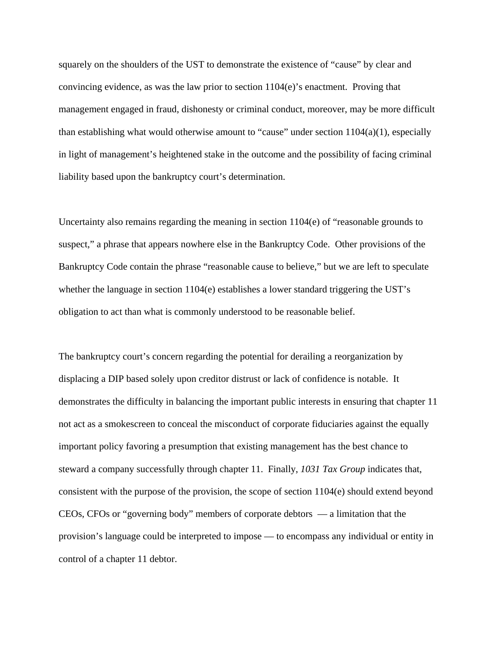squarely on the shoulders of the UST to demonstrate the existence of "cause" by clear and convincing evidence, as was the law prior to section 1104(e)'s enactment. Proving that management engaged in fraud, dishonesty or criminal conduct, moreover, may be more difficult than establishing what would otherwise amount to "cause" under section 1104(a)(1), especially in light of management's heightened stake in the outcome and the possibility of facing criminal liability based upon the bankruptcy court's determination.

Uncertainty also remains regarding the meaning in section 1104(e) of "reasonable grounds to suspect," a phrase that appears nowhere else in the Bankruptcy Code. Other provisions of the Bankruptcy Code contain the phrase "reasonable cause to believe," but we are left to speculate whether the language in section 1104(e) establishes a lower standard triggering the UST's obligation to act than what is commonly understood to be reasonable belief.

The bankruptcy court's concern regarding the potential for derailing a reorganization by displacing a DIP based solely upon creditor distrust or lack of confidence is notable. It demonstrates the difficulty in balancing the important public interests in ensuring that chapter 11 not act as a smokescreen to conceal the misconduct of corporate fiduciaries against the equally important policy favoring a presumption that existing management has the best chance to steward a company successfully through chapter 11. Finally, *1031 Tax Group* indicates that, consistent with the purpose of the provision, the scope of section 1104(e) should extend beyond CEOs, CFOs or "governing body" members of corporate debtors — a limitation that the provision's language could be interpreted to impose — to encompass any individual or entity in control of a chapter 11 debtor.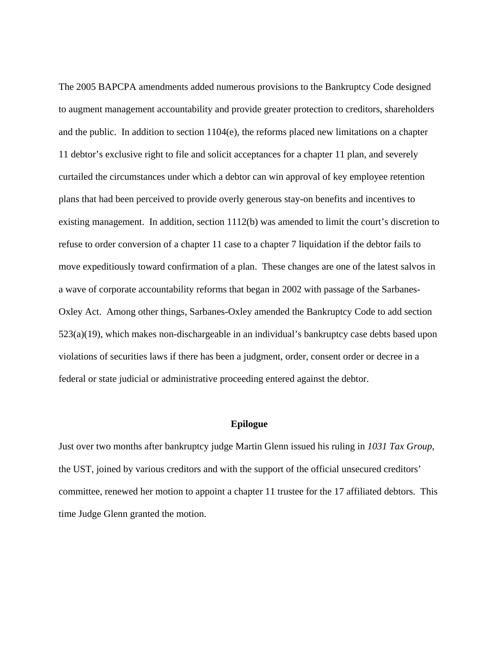The 2005 BAPCPA amendments added numerous provisions to the Bankruptcy Code designed to augment management accountability and provide greater protection to creditors, shareholders and the public. In addition to section 1104(e), the reforms placed new limitations on a chapter 11 debtor's exclusive right to file and solicit acceptances for a chapter 11 plan, and severely curtailed the circumstances under which a debtor can win approval of key employee retention plans that had been perceived to provide overly generous stay-on benefits and incentives to existing management. In addition, section 1112(b) was amended to limit the court's discretion to refuse to order conversion of a chapter 11 case to a chapter 7 liquidation if the debtor fails to move expeditiously toward confirmation of a plan. These changes are one of the latest salvos in a wave of corporate accountability reforms that began in 2002 with passage of the Sarbanes-Oxley Act. Among other things, Sarbanes-Oxley amended the Bankruptcy Code to add section 523(a)(19), which makes non-dischargeable in an individual's bankruptcy case debts based upon violations of securities laws if there has been a judgment, order, consent order or decree in a federal or state judicial or administrative proceeding entered against the debtor.

## **Epilogue**

Just over two months after bankruptcy judge Martin Glenn issued his ruling in *1031 Tax Group*, the UST, joined by various creditors and with the support of the official unsecured creditors' committee, renewed her motion to appoint a chapter 11 trustee for the 17 affiliated debtors. This time Judge Glenn granted the motion.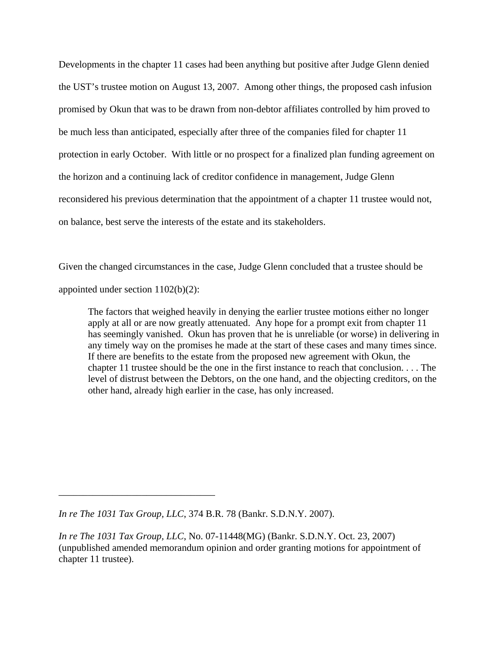Developments in the chapter 11 cases had been anything but positive after Judge Glenn denied the UST's trustee motion on August 13, 2007. Among other things, the proposed cash infusion promised by Okun that was to be drawn from non-debtor affiliates controlled by him proved to be much less than anticipated, especially after three of the companies filed for chapter 11 protection in early October. With little or no prospect for a finalized plan funding agreement on the horizon and a continuing lack of creditor confidence in management, Judge Glenn reconsidered his previous determination that the appointment of a chapter 11 trustee would not, on balance, best serve the interests of the estate and its stakeholders.

Given the changed circumstances in the case, Judge Glenn concluded that a trustee should be appointed under section 1102(b)(2):

The factors that weighed heavily in denying the earlier trustee motions either no longer apply at all or are now greatly attenuated. Any hope for a prompt exit from chapter 11 has seemingly vanished. Okun has proven that he is unreliable (or worse) in delivering in any timely way on the promises he made at the start of these cases and many times since. If there are benefits to the estate from the proposed new agreement with Okun, the chapter 11 trustee should be the one in the first instance to reach that conclusion. . . . The level of distrust between the Debtors, on the one hand, and the objecting creditors, on the other hand, already high earlier in the case, has only increased.

\_\_\_\_\_\_\_\_\_\_\_\_\_\_\_\_\_\_\_\_\_\_\_\_\_\_\_\_\_\_\_\_

*In re The 1031 Tax Group, LLC*, 374 B.R. 78 (Bankr. S.D.N.Y. 2007).

*In re The 1031 Tax Group, LLC*, No. 07-11448(MG) (Bankr. S.D.N.Y. Oct. 23, 2007) (unpublished amended memorandum opinion and order granting motions for appointment of chapter 11 trustee).